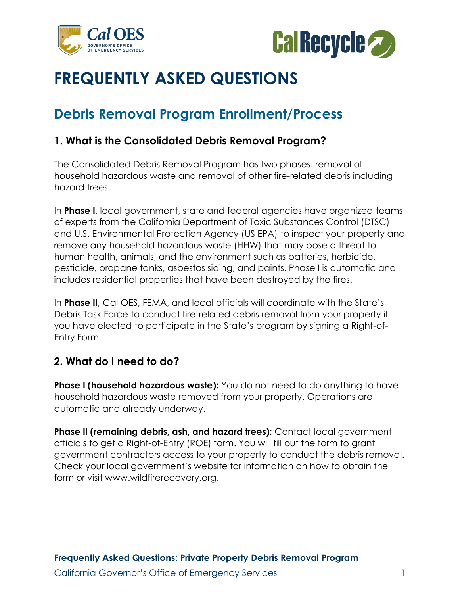



# **FREQUENTLY ASKED QUESTIONS**

# **Debris Removal Program Enrollment/Process**

#### **1. What is the Consolidated Debris Removal Program?**

The Consolidated Debris Removal Program has two phases: removal of household hazardous waste and removal of other fire-related debris including hazard trees.

In **Phase I**, local government, state and federal agencies have organized teams of experts from the California Department of Toxic Substances Control (DTSC) and U.S. Environmental Protection Agency (US EPA) to inspect your property and remove any household hazardous waste (HHW) that may pose a threat to human health, animals, and the environment such as batteries, herbicide, pesticide, propane tanks, asbestos siding, and paints. Phase I is automatic and includes residential properties that have been destroyed by the fires.

In **Phase II**, Cal OES, FEMA, and local officials will coordinate with the State's Debris Task Force to conduct fire-related debris removal from your property if you have elected to participate in the State's program by signing a Right-of-Entry Form.

### **2. What do I need to do?**

**Phase I (household hazardous waste):** You do not need to do anything to have household hazardous waste removed from your property. Operations are automatic and already underway.

**Phase II (remaining debris, ash, and hazard trees):** Contact local government officials to get a Right-of-Entry (ROE) form. You will fill out the form to grant government contractors access to your property to conduct the debris removal. Check your local government's website for information on how to obtain the form or visit www.wildfirerecovery.org.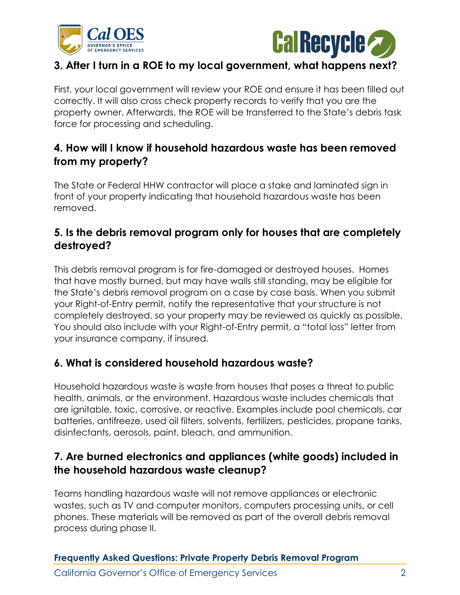



# **3. After I turn in a ROE to my local government, what happens next?**

First, your local government will review your ROE and ensure it has been filled out correctly. It will also cross check property records to verify that you are the property owner. Afterwards, the ROE will be transferred to the State's debris task force for processing and scheduling.

# **4. How will I know if household hazardous waste has been removed from my property?**

The State or Federal HHW contractor will place a stake and laminated sign in front of your property indicating that household hazardous waste has been removed.

# **5. Is the debris removal program only for houses that are completely destroyed?**

This debris removal program is for fire-damaged or destroyed houses. Homes that have mostly burned, but may have walls still standing, may be eligible for the State's debris removal program on a case by case basis. When you submit your Right-of-Entry permit, notify the representative that your structure is not completely destroyed, so your property may be reviewed as quickly as possible. You should also include with your Right-of-Entry permit, a "total loss" letter from your insurance company, if insured.

### **6. What is considered household hazardous waste?**

Household hazardous waste is waste from houses that poses a threat to public health, animals, or the environment. Hazardous waste includes chemicals that are ignitable, toxic, corrosive, or reactive. Examples include pool chemicals, car batteries, antifreeze, used oil filters, solvents, fertilizers, pesticides, propane tanks, disinfectants, aerosols, paint, bleach, and ammunition.

# **7. Are burned electronics and appliances (white goods) included in the household hazardous waste cleanup?**

Teams handling hazardous waste will not remove appliances or electronic wastes, such as TV and computer monitors, computers processing units, or cell phones. These materials will be removed as part of the overall debris removal process during phase II.

#### **Frequently Asked Questions: Private Property Debris Removal Program**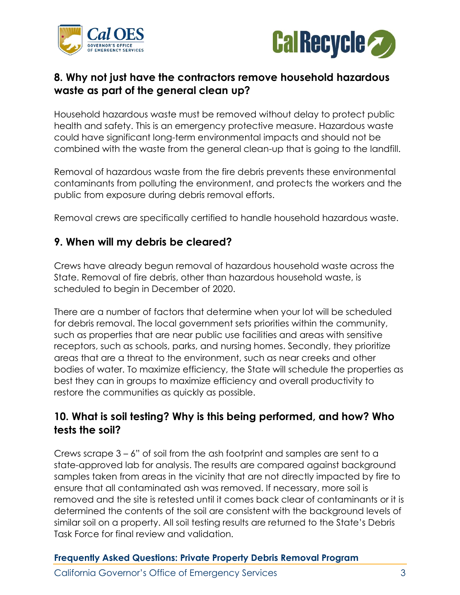



#### **8. Why not just have the contractors remove household hazardous waste as part of the general clean up?**

Household hazardous waste must be removed without delay to protect public health and safety. This is an emergency protective measure. Hazardous waste could have significant long-term environmental impacts and should not be combined with the waste from the general clean-up that is going to the landfill.

Removal of hazardous waste from the fire debris prevents these environmental contaminants from polluting the environment, and protects the workers and the public from exposure during debris removal efforts.

Removal crews are specifically certified to handle household hazardous waste.

#### **9. When will my debris be cleared?**

Crews have already begun removal of hazardous household waste across the State. Removal of fire debris, other than hazardous household waste, is scheduled to begin in December of 2020.

There are a number of factors that determine when your lot will be scheduled for debris removal. The local government sets priorities within the community, such as properties that are near public use facilities and areas with sensitive receptors, such as schools, parks, and nursing homes. Secondly, they prioritize areas that are a threat to the environment, such as near creeks and other bodies of water. To maximize efficiency, the State will schedule the properties as best they can in groups to maximize efficiency and overall productivity to restore the communities as quickly as possible.

# **10. What is soil testing? Why is this being performed, and how? Who tests the soil?**

Crews scrape 3 – 6" of soil from the ash footprint and samples are sent to a state-approved lab for analysis. The results are compared against background samples taken from areas in the vicinity that are not directly impacted by fire to ensure that all contaminated ash was removed. If necessary, more soil is removed and the site is retested until it comes back clear of contaminants or it is determined the contents of the soil are consistent with the background levels of similar soil on a property. All soil testing results are returned to the State's Debris Task Force for final review and validation.

#### **Frequently Asked Questions: Private Property Debris Removal Program**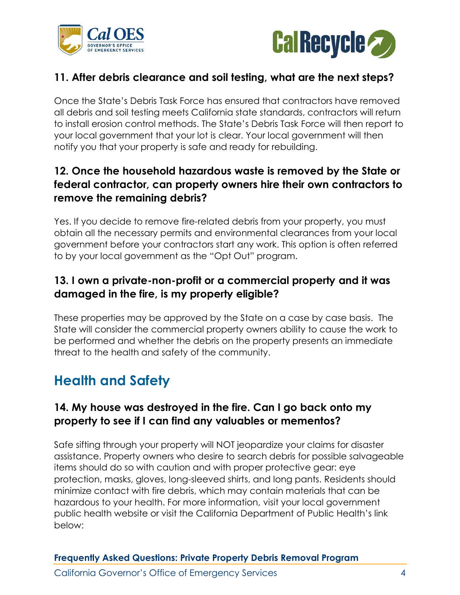



### **11. After debris clearance and soil testing, what are the next steps?**

Once the State's Debris Task Force has ensured that contractors have removed all debris and soil testing meets California state standards, contractors will return to install erosion control methods. The State's Debris Task Force will then report to your local government that your lot is clear. Your local government will then notify you that your property is safe and ready for rebuilding.

# **12. Once the household hazardous waste is removed by the State or federal contractor, can property owners hire their own contractors to remove the remaining debris?**

Yes. If you decide to remove fire-related debris from your property, you must obtain all the necessary permits and environmental clearances from your local government before your contractors start any work. This option is often referred to by your local government as the "Opt Out" program.

# **13. I own a private-non-profit or a commercial property and it was damaged in the fire, is my property eligible?**

These properties may be approved by the State on a case by case basis. The State will consider the commercial property owners ability to cause the work to be performed and whether the debris on the property presents an immediate threat to the health and safety of the community.

# **Health and Safety**

### **14. My house was destroyed in the fire. Can I go back onto my property to see if I can find any valuables or mementos?**

Safe sifting through your property will NOT jeopardize your claims for disaster assistance. Property owners who desire to search debris for possible salvageable items should do so with caution and with proper protective gear: eye protection, masks, gloves, long-sleeved shirts, and long pants. Residents should minimize contact with fire debris, which may contain materials that can be hazardous to your health. For more information, visit your local government public health website or visit the California Department of Public Health's link below:

**Frequently Asked Questions: Private Property Debris Removal Program**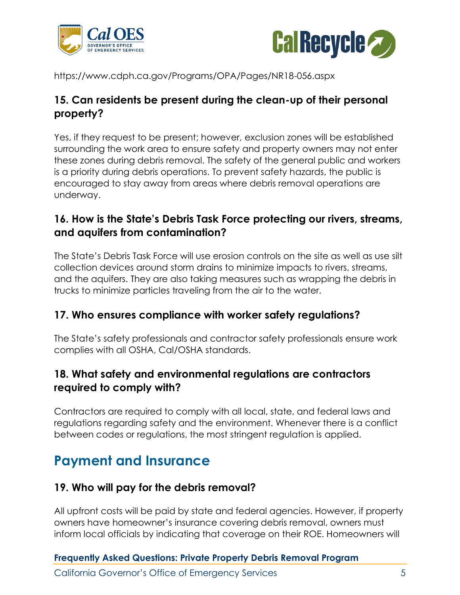



https://www.cdph.ca.gov/Programs/OPA/Pages/NR18-056.aspx

### **15. Can residents be present during the clean-up of their personal property?**

Yes, if they request to be present; however, exclusion zones will be established surrounding the work area to ensure safety and property owners may not enter these zones during debris removal. The safety of the general public and workers is a priority during debris operations. To prevent safety hazards, the public is encouraged to stay away from areas where debris removal operations are underway.

### **16. How is the State's Debris Task Force protecting our rivers, streams, and aquifers from contamination?**

The State's Debris Task Force will use erosion controls on the site as well as use silt collection devices around storm drains to minimize impacts to rivers, streams, and the aquifers. They are also taking measures such as wrapping the debris in trucks to minimize particles traveling from the air to the water.

### **17. Who ensures compliance with worker safety regulations?**

The State's safety professionals and contractor safety professionals ensure work complies with all OSHA, Cal/OSHA standards.

# **18. What safety and environmental regulations are contractors required to comply with?**

Contractors are required to comply with all local, state, and federal laws and regulations regarding safety and the environment. Whenever there is a conflict between codes or regulations, the most stringent regulation is applied.

# **Payment and Insurance**

### **19. Who will pay for the debris removal?**

All upfront costs will be paid by state and federal agencies. However, if property owners have homeowner's insurance covering debris removal, owners must inform local officials by indicating that coverage on their ROE. Homeowners will

#### **Frequently Asked Questions: Private Property Debris Removal Program**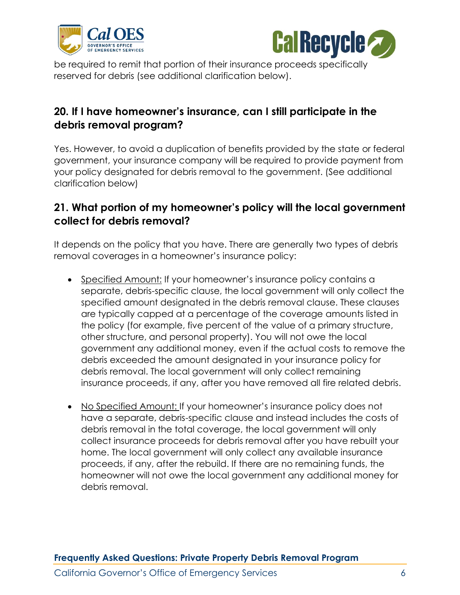



be required to remit that portion of their insurance proceeds specifically reserved for debris (see additional clarification below).

# **20. If I have homeowner's insurance, can I still participate in the debris removal program?**

Yes. However, to avoid a duplication of benefits provided by the state or federal government, your insurance company will be required to provide payment from your policy designated for debris removal to the government. (See additional clarification below)

# **21. What portion of my homeowner's policy will the local government collect for debris removal?**

It depends on the policy that you have. There are generally two types of debris removal coverages in a homeowner's insurance policy:

- Specified Amount: If your homeowner's insurance policy contains a separate, debris-specific clause, the local government will only collect the specified amount designated in the debris removal clause. These clauses are typically capped at a percentage of the coverage amounts listed in the policy (for example, five percent of the value of a primary structure, other structure, and personal property). You will not owe the local government any additional money, even if the actual costs to remove the debris exceeded the amount designated in your insurance policy for debris removal. The local government will only collect remaining insurance proceeds, if any, after you have removed all fire related debris.
- No Specified Amount: If your homeowner's insurance policy does not have a separate, debris-specific clause and instead includes the costs of debris removal in the total coverage, the local government will only collect insurance proceeds for debris removal after you have rebuilt your home. The local government will only collect any available insurance proceeds, if any, after the rebuild. If there are no remaining funds, the homeowner will not owe the local government any additional money for debris removal.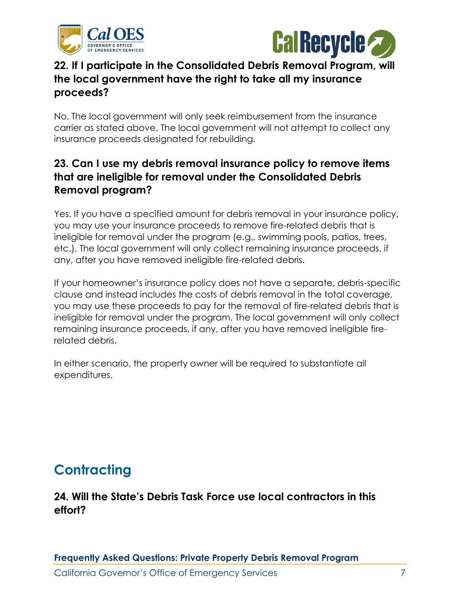



# **22. If I participate in the Consolidated Debris Removal Program, will the local government have the right to take all my insurance proceeds?**

No. The local government will only seek reimbursement from the insurance carrier as stated above. The local government will not attempt to collect any insurance proceeds designated for rebuilding.

# **23. Can I use my debris removal insurance policy to remove items that are ineligible for removal under the Consolidated Debris Removal program?**

Yes. If you have a specified amount for debris removal in your insurance policy, you may use your insurance proceeds to remove fire-related debris that is ineligible for removal under the program (e.g., swimming pools, patios, trees, etc.). The local government will only collect remaining insurance proceeds, if any, after you have removed ineligible fire-related debris.

If your homeowner's insurance policy does not have a separate, debris-specific clause and instead includes the costs of debris removal in the total coverage, you may use these proceeds to pay for the removal of fire-related debris that is ineligible for removal under the program. The local government will only collect remaining insurance proceeds, if any, after you have removed ineligible firerelated debris.

In either scenario, the property owner will be required to substantiate all expenditures.

# **Contracting**

# **24. Will the State's Debris Task Force use local contractors in this effort?**